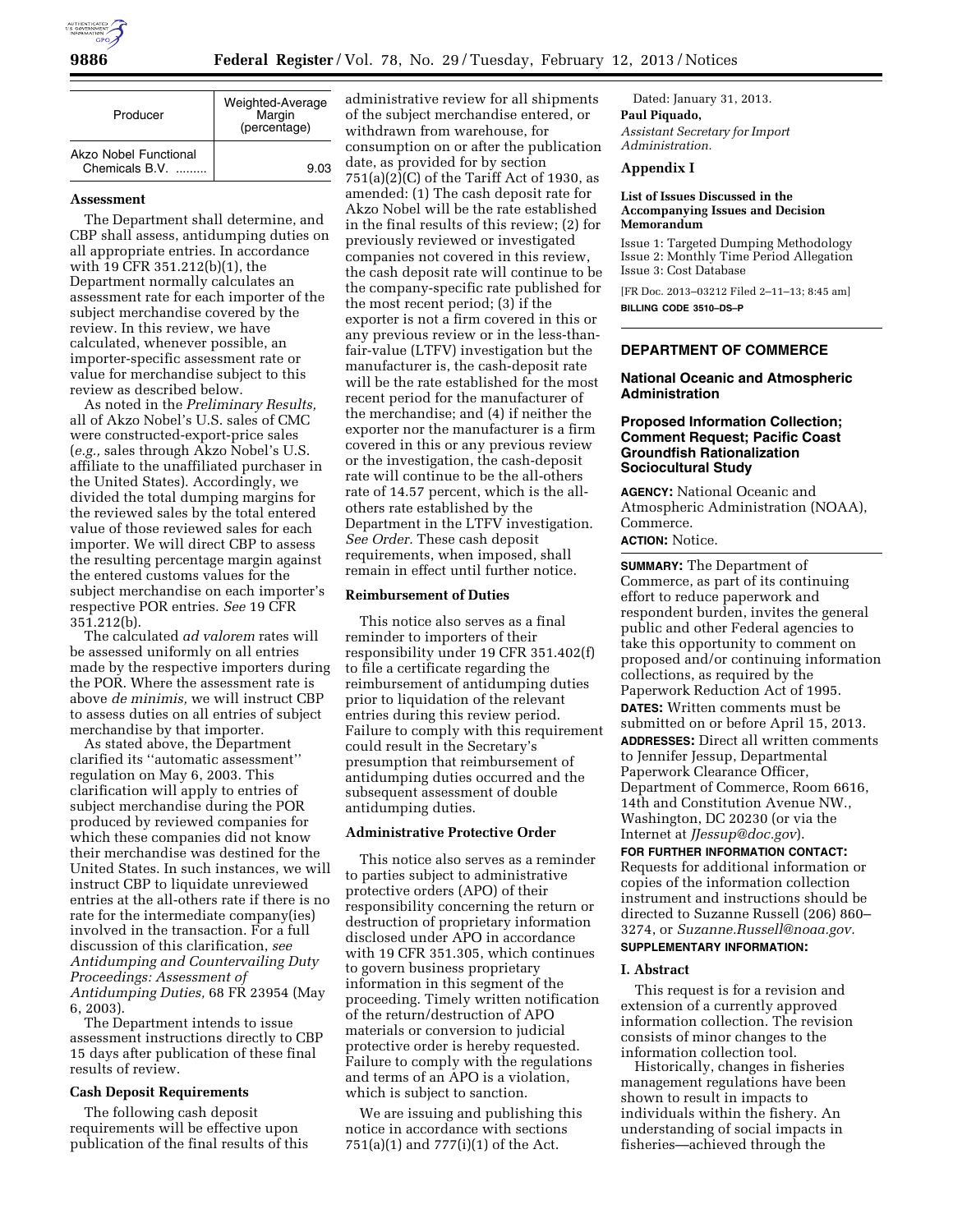

| Producer                                | Weighted-Average<br>Margin<br>(percentage) |
|-----------------------------------------|--------------------------------------------|
| Akzo Nobel Functional<br>Chemicals B.V. | 9.03                                       |

#### **Assessment**

The Department shall determine, and CBP shall assess, antidumping duties on all appropriate entries. In accordance with 19 CFR 351.212(b)(1), the Department normally calculates an assessment rate for each importer of the subject merchandise covered by the review. In this review, we have calculated, whenever possible, an importer-specific assessment rate or value for merchandise subject to this review as described below.

As noted in the *Preliminary Results,*  all of Akzo Nobel's U.S. sales of CMC were constructed-export-price sales (*e.g.,* sales through Akzo Nobel's U.S. affiliate to the unaffiliated purchaser in the United States). Accordingly, we divided the total dumping margins for the reviewed sales by the total entered value of those reviewed sales for each importer. We will direct CBP to assess the resulting percentage margin against the entered customs values for the subject merchandise on each importer's respective POR entries. *See* 19 CFR 351.212(b).

The calculated *ad valorem* rates will be assessed uniformly on all entries made by the respective importers during the POR. Where the assessment rate is above *de minimis,* we will instruct CBP to assess duties on all entries of subject merchandise by that importer.

As stated above, the Department clarified its ''automatic assessment'' regulation on May 6, 2003. This clarification will apply to entries of subject merchandise during the POR produced by reviewed companies for which these companies did not know their merchandise was destined for the United States. In such instances, we will instruct CBP to liquidate unreviewed entries at the all-others rate if there is no rate for the intermediate company(ies) involved in the transaction. For a full discussion of this clarification, *see Antidumping and Countervailing Duty Proceedings: Assessment of Antidumping Duties,* 68 FR 23954 (May 6, 2003).

The Department intends to issue assessment instructions directly to CBP 15 days after publication of these final results of review.

# **Cash Deposit Requirements**

The following cash deposit requirements will be effective upon publication of the final results of this administrative review for all shipments of the subject merchandise entered, or withdrawn from warehouse, for consumption on or after the publication date, as provided for by section 751(a)(2)(C) of the Tariff Act of 1930, as amended: (1) The cash deposit rate for Akzo Nobel will be the rate established in the final results of this review; (2) for previously reviewed or investigated companies not covered in this review, the cash deposit rate will continue to be the company-specific rate published for the most recent period; (3) if the exporter is not a firm covered in this or any previous review or in the less-thanfair-value (LTFV) investigation but the manufacturer is, the cash-deposit rate will be the rate established for the most recent period for the manufacturer of the merchandise; and (4) if neither the exporter nor the manufacturer is a firm covered in this or any previous review or the investigation, the cash-deposit rate will continue to be the all-others rate of 14.57 percent, which is the allothers rate established by the Department in the LTFV investigation. *See Order.* These cash deposit requirements, when imposed, shall remain in effect until further notice.

## **Reimbursement of Duties**

This notice also serves as a final reminder to importers of their responsibility under 19 CFR 351.402(f) to file a certificate regarding the reimbursement of antidumping duties prior to liquidation of the relevant entries during this review period. Failure to comply with this requirement could result in the Secretary's presumption that reimbursement of antidumping duties occurred and the subsequent assessment of double antidumping duties.

#### **Administrative Protective Order**

This notice also serves as a reminder to parties subject to administrative protective orders (APO) of their responsibility concerning the return or destruction of proprietary information disclosed under APO in accordance with 19 CFR 351.305, which continues to govern business proprietary information in this segment of the proceeding. Timely written notification of the return/destruction of APO materials or conversion to judicial protective order is hereby requested. Failure to comply with the regulations and terms of an APO is a violation, which is subject to sanction.

We are issuing and publishing this notice in accordance with sections 751(a)(1) and 777(i)(1) of the Act.

Dated: January 31, 2013. **Paul Piquado,**  *Assistant Secretary for Import Administration.* 

# **Appendix I**

#### **List of Issues Discussed in the Accompanying Issues and Decision Memorandum**

Issue 1: Targeted Dumping Methodology Issue 2: Monthly Time Period Allegation Issue 3: Cost Database

[FR Doc. 2013–03212 Filed 2–11–13; 8:45 am] **BILLING CODE 3510–DS–P** 

# **DEPARTMENT OF COMMERCE**

# **National Oceanic and Atmospheric Administration**

## **Proposed Information Collection; Comment Request; Pacific Coast Groundfish Rationalization Sociocultural Study**

**AGENCY:** National Oceanic and Atmospheric Administration (NOAA), Commerce.

# **ACTION:** Notice.

**SUMMARY:** The Department of Commerce, as part of its continuing effort to reduce paperwork and respondent burden, invites the general public and other Federal agencies to take this opportunity to comment on proposed and/or continuing information collections, as required by the Paperwork Reduction Act of 1995. **DATES:** Written comments must be submitted on or before April 15, 2013. **ADDRESSES:** Direct all written comments to Jennifer Jessup, Departmental Paperwork Clearance Officer, Department of Commerce, Room 6616, 14th and Constitution Avenue NW., Washington, DC 20230 (or via the Internet at *[JJessup@doc.gov](mailto:JJessup@doc.gov)*).

**FOR FURTHER INFORMATION CONTACT:**  Requests for additional information or copies of the information collection instrument and instructions should be directed to Suzanne Russell (206) 860– 3274, or *[Suzanne.Russell@noaa.gov.](mailto:Suzanne.Russell@noaa.gov)*  **SUPPLEMENTARY INFORMATION:** 

## **I. Abstract**

This request is for a revision and extension of a currently approved information collection. The revision consists of minor changes to the information collection tool.

Historically, changes in fisheries management regulations have been shown to result in impacts to individuals within the fishery. An understanding of social impacts in fisheries—achieved through the